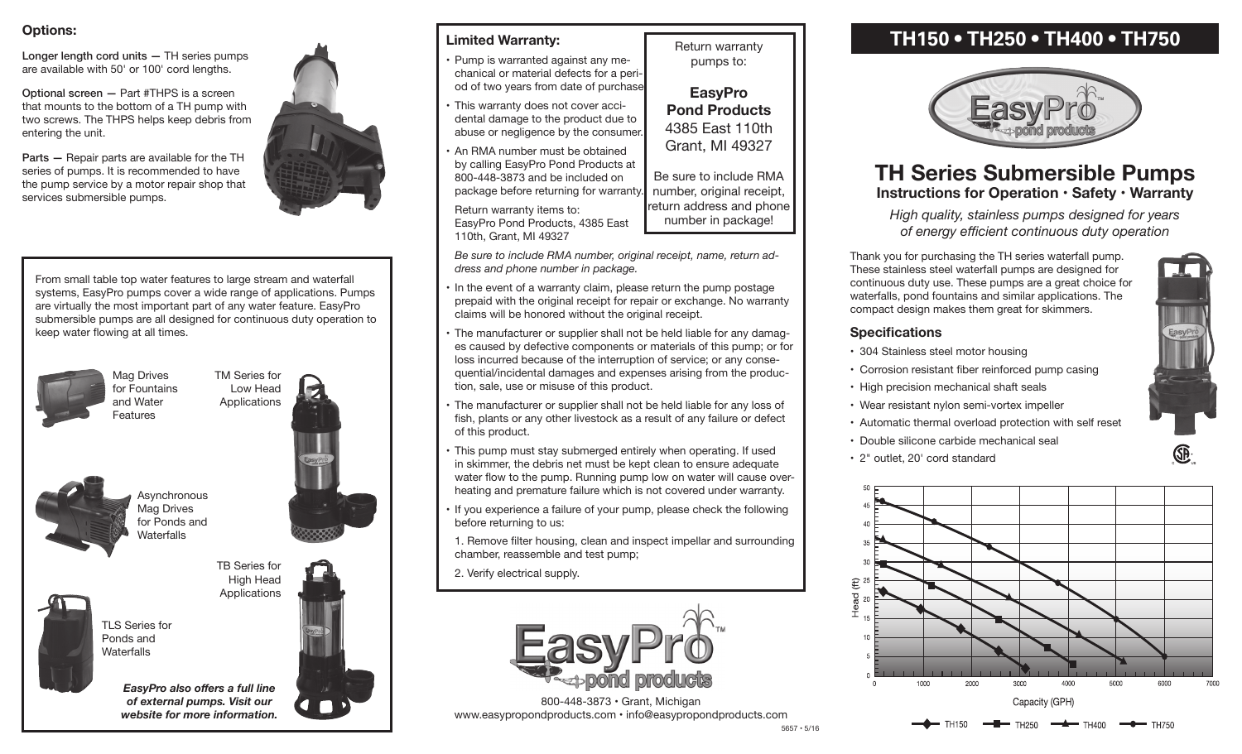## **Options:**

Longer length cord units — TH series pumps are available with 50' or 100' cord lengths.

Optional screen — Part #THPS is <sup>a</sup> screen that mounts to the bottom of <sup>a</sup> TH pump with two screws. The THPS helps keep debris from entering the unit.

Parts — Repair parts are available for the TH series of pumps. It is recommended to have the pump service by <sup>a</sup> motor repair shop that services submersible pumps.

From small table top water features to large stream and waterfall systems, EasyPro pumps cover <sup>a</sup> wide range of applications. Pumps are virtually the most important part of any water feature. EasyPro submersible pumps are all designed for continuous duty operation to keep water flowing at all times.



Mag Drives for Fountains and Water Features



TM Series for Low Head

TB Series for High Head **Applications** 

**Asynchronous** Mag Drives for Ponds and Waterfalls



TLS Series for Ponds and **Waterfalls** 



*EasyPro also offers a full line of external pumps. Visit our website for more information.*



## **Limited Warranty:**

- Pump is warranted against any mechanical or material defects for a period of two years from date of purchase
- This warranty does not cover accidental damage to the product due to abuse or negligence by the consumer.
- An RMA number must be obtained by calling EasyPro Pond Products at 800-448-3873 and be included on package before returning for warranty.
- Return warranty items to: EasyPro Pond Products, 4385 East 110th, Grant, MI 49327

*Be sure to include RMA number, original receipt, name, return address and phone number in package.*

Return warranty pumps to:

**EasyPro Pond Products** 4385 East 110th Grant, MI 49327

Be sure to include RMA number, original receipt, return address and phone number in package!

- In the event of a warranty claim, please return the pump postage prepaid with the original receipt for repair or exchange. No warranty claims will be honored without the original receipt.
- The manufacturer or supplier shall not be held liable for any damages caused by defective components or materials of this pump; or for loss incurred because of the interruption of service; or any consequential/incidental damages and expenses arising from the production, sale, use or misuse of this product.
- The manufacturer or supplier shall not be held liable for any loss of fish, plants or any other livestock as <sup>a</sup> result of any failure or defect of this product.
- This pump must stay submerged entirely when operating. If used in skimmer, the debris net must be kept clean to ensure adequate water flow to the pump. Running pump low on water will cause overheating and premature failure which is not covered under warranty.
- If you experience a failure of your pump, please check the following before returning to us:

 1. Remove filter housing, clean and inspect impellar and surrounding chamber, reassemble and test pump;

 2. Verify electrical supply.



800-448-3873 • Grant, Michigan www.easypropondproducts.com • info@easypropondproducts.com

# **TH150 • TH250 • TH400 • TH750**



## **TH Series Submersible Pumps Instructions for Operation • Safety • Warranty**

*High quality, stainless pumps designed for years of energy efficient continuous duty operation*

Thank you for purchasing the TH series waterfall pump. These stainless steel waterfall pumps are designed for continuous duty use. These pumps are a great choice for waterfalls, pond fountains and similar applications. The compact design makes them great for skimmers.

## **Specifications**

- 304 Stainless steel motor housing
- Corrosion resistant fiber reinforced pump casing
- High precision mechanical shaft seals
- Wear resistant nylon semi-vortex impeller
- Automatic thermal overload protection with self reset
- • Double silicone carbide mechanical seal
- • 2" outlet, 20' cord standard